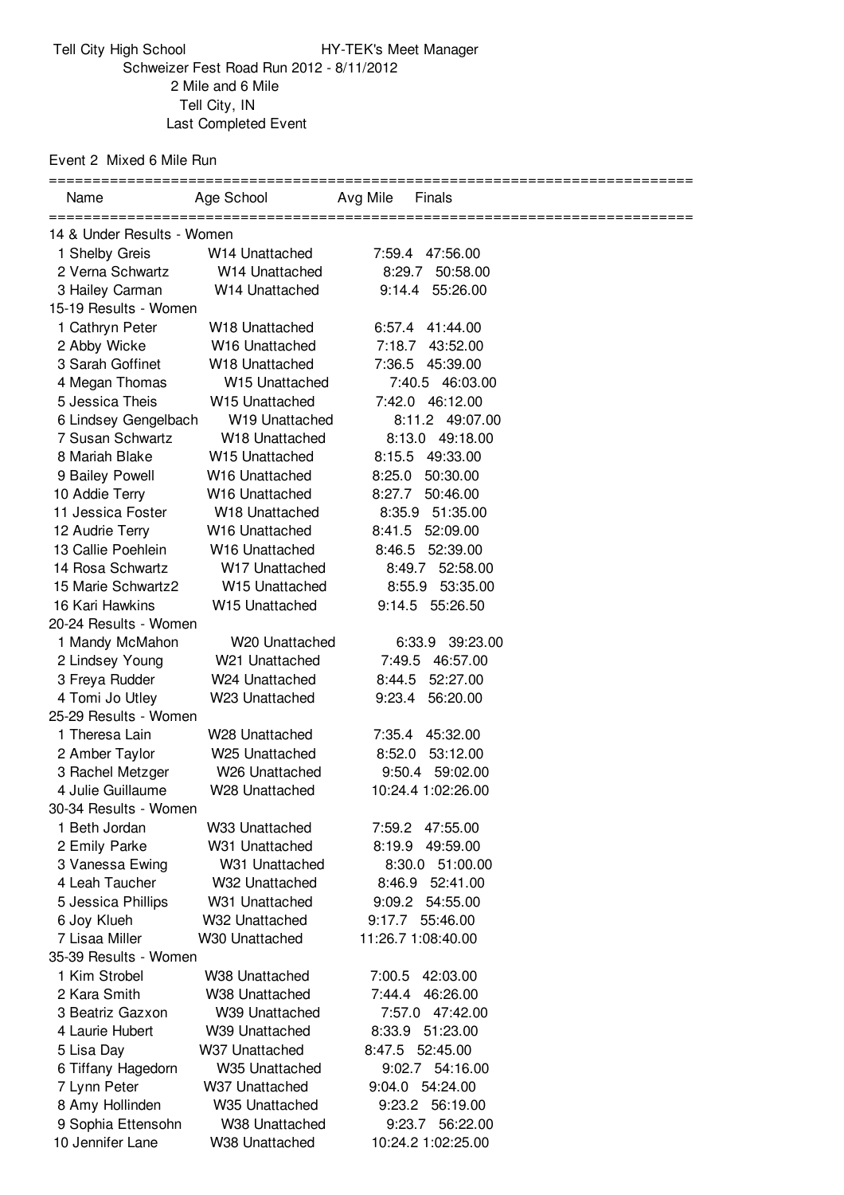Tell City High School **HY-TEK's Meet Manager** Schweizer Fest Road Run 2012 - 8/11/2012 Mile and 6 Mile Tell City, IN Last Completed Event

Event 2 Mixed 6 Mile Run

| Name                       | Age School                 | Avg Mile<br>Finals |
|----------------------------|----------------------------|--------------------|
| 14 & Under Results - Women |                            |                    |
| 1 Shelby Greis             | W <sub>14</sub> Unattached | 7:59.4 47:56.00    |
| 2 Verna Schwartz           | W14 Unattached             | 8:29.7<br>50:58.00 |
| 3 Hailey Carman            | W14 Unattached             | 9:14.4 55:26.00    |
| 15-19 Results - Women      |                            |                    |
| 1 Cathryn Peter            | W <sub>18</sub> Unattached | 6:57.4 41:44.00    |
| 2 Abby Wicke               | W16 Unattached             | 7:18.7<br>43:52.00 |
| 3 Sarah Goffinet           | W18 Unattached             | 45:39.00<br>7:36.5 |
| 4 Megan Thomas             | W15 Unattached             | 7:40.5 46:03.00    |
| 5 Jessica Theis            | W15 Unattached             | 7:42.0 46:12.00    |
| 6 Lindsey Gengelbach       | W <sub>19</sub> Unattached | 8:11.2 49:07.00    |
| 7 Susan Schwartz           | W18 Unattached             | 8:13.0 49:18.00    |
| 8 Mariah Blake             | W <sub>15</sub> Unattached | 8:15.5 49:33.00    |
| 9 Bailey Powell            | W16 Unattached             | 50:30.00<br>8:25.0 |
| 10 Addie Terry             | W16 Unattached             | 8:27.7<br>50:46.00 |
| 11 Jessica Foster          | W18 Unattached             | 8:35.9 51:35.00    |
| 12 Audrie Terry            | W16 Unattached             | 8:41.5 52:09.00    |
| 13 Callie Poehlein         | <b>W16 Unattached</b>      | 52:39.00<br>8:46.5 |
| 14 Rosa Schwartz           | W17 Unattached             | 8:49.7<br>52:58.00 |
| 15 Marie Schwartz2         | W15 Unattached             | 8:55.9 53:35.00    |
| 16 Kari Hawkins            | W15 Unattached             | 9:14.5 55:26.50    |
| 20-24 Results - Women      |                            |                    |
| 1 Mandy McMahon            | W20 Unattached             | 6:33.9 39:23.00    |
| 2 Lindsey Young            | W21 Unattached             | 7:49.5 46:57.00    |
| 3 Freya Rudder             | W24 Unattached             | 8:44.5<br>52:27.00 |
| 4 Tomi Jo Utley            | W23 Unattached             | 9:23.4<br>56:20.00 |
| 25-29 Results - Women      |                            |                    |
| 1 Theresa Lain             | W28 Unattached             | 7:35.4<br>45:32.00 |
| 2 Amber Taylor             | W25 Unattached             | 53:12.00<br>8:52.0 |
| 3 Rachel Metzger           | W26 Unattached             | 9:50.4<br>59:02.00 |
| 4 Julie Guillaume          | W28 Unattached             | 10:24.4 1:02:26.00 |
| 30-34 Results - Women      |                            |                    |
| 1 Beth Jordan              | W33 Unattached             | 7:59.2 47:55.00    |
| 2 Emily Parke              | W31 Unattached             | 8:19.9 49:59.00    |
| 3 Vanessa Ewing            | W31 Unattached             | 51:00.00<br>8:30.0 |
| 4 Leah Taucher             | W32 Unattached             | 8:46.9 52:41.00    |
| 5 Jessica Phillips         | W31 Unattached             | 9:09.2 54:55.00    |
| 6 Joy Klueh                | W32 Unattached             | 9:17.7<br>55:46.00 |
| 7 Lisaa Miller             | W30 Unattached             | 11:26.7 1:08:40.00 |
| 35-39 Results - Women      |                            |                    |
| 1 Kim Strobel              | W38 Unattached             | 7:00.5 42:03.00    |
| 2 Kara Smith               | W38 Unattached             | 46:26.00<br>7:44.4 |
| 3 Beatriz Gazxon           | W39 Unattached             | 7:57.0 47:42.00    |
| 4 Laurie Hubert            | W39 Unattached             | 8:33.9 51:23.00    |
| 5 Lisa Day                 | W37 Unattached             | 8:47.5 52:45.00    |
| 6 Tiffany Hagedorn         | W35 Unattached             | 9:02.7 54:16.00    |
| 7 Lynn Peter               | W37 Unattached             | 9:04.0 54:24.00    |
| 8 Amy Hollinden            | W35 Unattached             | 9:23.2 56:19.00    |
| 9 Sophia Ettensohn         | W38 Unattached             | 9:23.7 56:22.00    |
| 10 Jennifer Lane           | W38 Unattached             | 10:24.2 1:02:25.00 |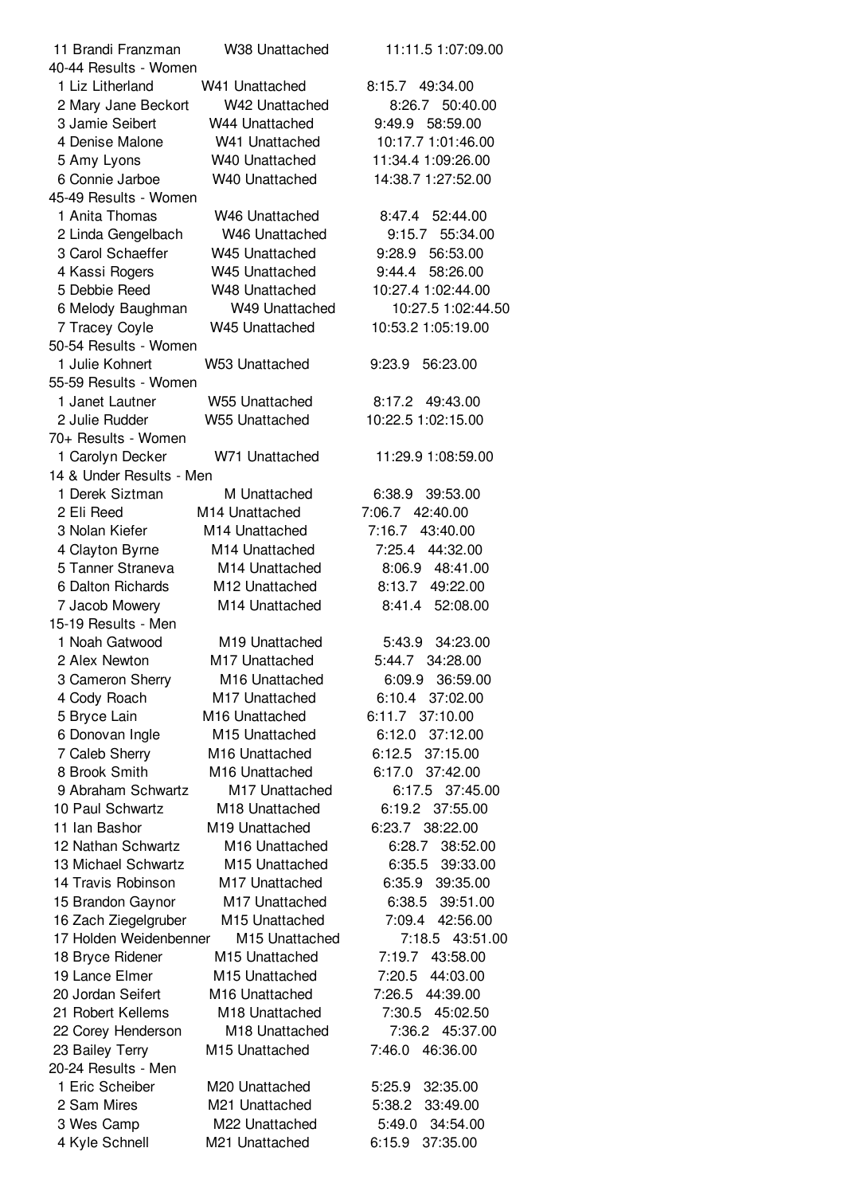| 11 Brandi Franzman       | W38 Unattached             | 11:11.5 1:07:09.00 |
|--------------------------|----------------------------|--------------------|
| 40-44 Results - Women    |                            |                    |
| 1 Liz Litherland         | W41 Unattached             | 8:15.7 49:34.00    |
| 2 Mary Jane Beckort      | W42 Unattached             | 8:26.7 50:40.00    |
| 3 Jamie Seibert          | W44 Unattached             | 9:49.9 58:59.00    |
| 4 Denise Malone          | W41 Unattached             | 10:17.7 1:01:46.00 |
| 5 Amy Lyons              | W40 Unattached             | 11:34.4 1:09:26.00 |
| 6 Connie Jarboe          | W40 Unattached             | 14:38.7 1:27:52.00 |
| 45-49 Results - Women    |                            |                    |
| 1 Anita Thomas           | W <sub>46</sub> Unattached | 8:47.4 52:44.00    |
| 2 Linda Gengelbach       | W46 Unattached             | 9:15.7<br>55:34.00 |
| 3 Carol Schaeffer        | W45 Unattached             | 56:53.00<br>9:28.9 |
| 4 Kassi Rogers           | W45 Unattached             | 58:26.00<br>9:44.4 |
| 5 Debbie Reed            | W48 Unattached             | 10:27.4 1:02:44.00 |
| 6 Melody Baughman        | W49 Unattached             | 10:27.5 1:02:44.50 |
| 7 Tracey Coyle           | W45 Unattached             | 10:53.2 1:05:19.00 |
| 50-54 Results - Women    |                            |                    |
| 1 Julie Kohnert          | W53 Unattached             | 56:23.00<br>9:23.9 |
| 55-59 Results - Women    |                            |                    |
|                          |                            |                    |
| 1 Janet Lautner          | W55 Unattached             | 8:17.2<br>49:43.00 |
| 2 Julie Rudder           | W55 Unattached             | 10:22.5 1:02:15.00 |
| 70+ Results - Women      |                            |                    |
| 1 Carolyn Decker         | W71 Unattached             | 11:29.9 1:08:59.00 |
| 14 & Under Results - Men |                            |                    |
| 1 Derek Siztman          | M Unattached               | 6:38.9 39:53.00    |
| 2 Eli Reed               | M14 Unattached             | 7:06.7 42:40.00    |
| 3 Nolan Kiefer           | M14 Unattached             | 7:16.7<br>43:40.00 |
| 4 Clayton Byrne          | M14 Unattached             | 7:25.4<br>44:32.00 |
| 5 Tanner Straneva        | M14 Unattached             | 8:06.9 48:41.00    |
| 6 Dalton Richards        | M12 Unattached             | 8:13.7 49:22.00    |
| 7 Jacob Mowery           | M14 Unattached             | 8:41.4<br>52:08.00 |
| 15-19 Results - Men      |                            |                    |
| 1 Noah Gatwood           | M19 Unattached             | 5:43.9<br>34:23.00 |
| 2 Alex Newton            | M17 Unattached             | 5:44.7 34:28.00    |
| 3 Cameron Sherry         | M16 Unattached             | 6:09.9 36:59.00    |
| 4 Cody Roach             | M17 Unattached             | 6:10.4 37:02.00    |
| 5 Bryce Lain             | M16 Unattached             | 6:11.7 37:10.00    |
| 6 Donovan Ingle          | M15 Unattached             | 6:12.0<br>37:12.00 |
| 7 Caleb Sherry           | M16 Unattached             | 6:12.5<br>37:15.00 |
| 8 Brook Smith            | M16 Unattached             | 6:17.0<br>37:42.00 |
| 9 Abraham Schwartz       | M17 Unattached             | 6:17.5 37:45.00    |
| 10 Paul Schwartz         | M18 Unattached             | 37:55.00<br>6:19.2 |
| 11 Ian Bashor            | M19 Unattached             | 6:23.7<br>38:22.00 |
| 12 Nathan Schwartz       | M <sub>16</sub> Unattached | 6:28.7<br>38:52.00 |
| 13 Michael Schwartz      | M15 Unattached             | 39:33.00<br>6:35.5 |
| 14 Travis Robinson       | M17 Unattached             | 39:35.00<br>6:35.9 |
| 15 Brandon Gaynor        | M17 Unattached             | 39:51.00<br>6:38.5 |
| 16 Zach Ziegelgruber     | M15 Unattached             | 7:09.4<br>42:56.00 |
| 17 Holden Weidenbenner   | M15 Unattached             | 7:18.5<br>43:51.00 |
| 18 Bryce Ridener         | M15 Unattached             | 7:19.7<br>43:58.00 |
| 19 Lance Elmer           | M15 Unattached             | 7:20.5<br>44:03.00 |
| 20 Jordan Seifert        | M16 Unattached             | 7:26.5<br>44:39.00 |
| 21 Robert Kellems        | M18 Unattached             | 7:30.5<br>45:02.50 |
| 22 Corey Henderson       | M18 Unattached             | 7:36.2<br>45:37.00 |
| 23 Bailey Terry          | M15 Unattached             | 7:46.0<br>46:36.00 |
| 20-24 Results - Men      |                            |                    |
| 1 Eric Scheiber          |                            |                    |
|                          | M20 Unattached             | 32:35.00<br>5:25.9 |
| 2 Sam Mires              | M21 Unattached             | 33:49.00<br>5:38.2 |
| 3 Wes Camp               | M22 Unattached             | 5:49.0<br>34:54.00 |
| 4 Kyle Schnell           | M21 Unattached             | 37:35.00<br>6:15.9 |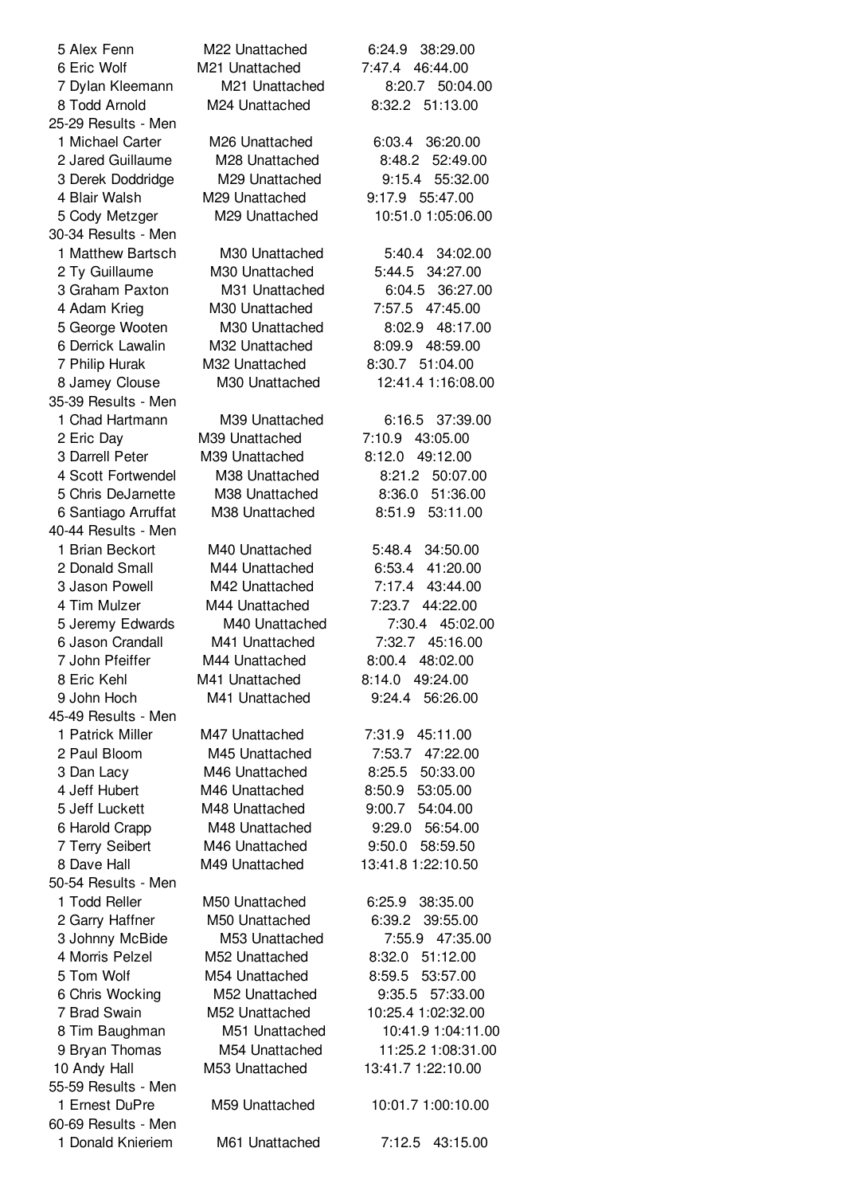| 5 Alex Fenn         | M22 Unattached             | 38:29.00<br>6:24.9 |
|---------------------|----------------------------|--------------------|
| 6 Eric Wolf         | M21 Unattached             | 7:47.4<br>46:44.00 |
| 7 Dylan Kleemann    | M21 Unattached             | 8:20.7 50:04.00    |
| 8 Todd Arnold       | M24 Unattached             | 8:32.2 51:13.00    |
| 25-29 Results - Men |                            |                    |
| 1 Michael Carter    | M <sub>26</sub> Unattached | 6:03.4 36:20.00    |
| 2 Jared Guillaume   | M28 Unattached             | 8:48.2<br>52:49.00 |
| 3 Derek Doddridge   | M29 Unattached             | 9:15.4<br>55:32.00 |
| 4 Blair Walsh       | M29 Unattached             | 9:17.9 55:47.00    |
| 5 Cody Metzger      | M29 Unattached             | 10:51.0 1:05:06.00 |
| 30-34 Results - Men |                            |                    |
| 1 Matthew Bartsch   | M <sub>30</sub> Unattached | 5:40.4<br>34:02.00 |
| 2 Ty Guillaume      | M30 Unattached             | 34:27.00<br>5:44.5 |
| 3 Graham Paxton     | M31 Unattached             | 6:04.5<br>36:27.00 |
| 4 Adam Krieg        | M30 Unattached             | 7:57.5 47:45.00    |
| 5 George Wooten     | M30 Unattached             | 8:02.9<br>48:17.00 |
| 6 Derrick Lawalin   | M32 Unattached             | 8:09.9<br>48:59.00 |
| 7 Philip Hurak      | M32 Unattached             | 8:30.7 51:04.00    |
| 8 Jamey Clouse      | M <sub>30</sub> Unattached | 12:41.4 1:16:08.00 |
| 35-39 Results - Men |                            |                    |
| 1 Chad Hartmann     | M39 Unattached             | 6:16.5 37:39.00    |
| 2 Eric Day          | M39 Unattached             | 7:10.9<br>43:05.00 |
| 3 Darrell Peter     | M39 Unattached             | 49:12.00<br>8:12.0 |
| 4 Scott Fortwendel  | M38 Unattached             | 8:21.2<br>50:07.00 |
| 5 Chris DeJarnette  | M38 Unattached             | 51:36.00<br>8:36.0 |
| 6 Santiago Arruffat | M38 Unattached             | 8:51.9<br>53:11.00 |
| 40-44 Results - Men |                            |                    |
| 1 Brian Beckort     | M40 Unattached             | 5:48.4<br>34:50.00 |
| 2 Donald Small      | M44 Unattached             | 6:53.4<br>41:20.00 |
| 3 Jason Powell      | M42 Unattached             | 7:17.4<br>43:44.00 |
| 4 Tim Mulzer        | M44 Unattached             | 44:22.00<br>7:23.7 |
| 5 Jeremy Edwards    | M40 Unattached             | 7:30.4 45:02.00    |
| 6 Jason Crandall    | M41 Unattached             | 7:32.7<br>45:16.00 |
| 7 John Pfeiffer     | M44 Unattached             | 8:00.4<br>48:02.00 |
| 8 Eric Kehl         | M41 Unattached             | 8:14.0<br>49:24.00 |
| 9 John Hoch         | M41 Unattached             | 56:26.00<br>9:24.4 |
| 45-49 Results - Men |                            |                    |
| 1 Patrick Miller    | M47 Unattached             | 7:31.9 45:11.00    |
| 2 Paul Bloom        | M45 Unattached             | 7:53.7 47:22.00    |
| 3 Dan Lacy          | M46 Unattached             | 50:33.00<br>8:25.5 |
| 4 Jeff Hubert       | M46 Unattached             | 8:50.9<br>53:05.00 |
| 5 Jeff Luckett      | M48 Unattached             | 9:00.7<br>54:04.00 |
| 6 Harold Crapp      | M48 Unattached             | 9:29.0 56:54.00    |
| 7 Terry Seibert     | M46 Unattached             | 9:50.0<br>58:59.50 |
| 8 Dave Hall         | M49 Unattached             | 13:41.8 1:22:10.50 |
| 50-54 Results - Men |                            |                    |
| 1 Todd Reller       | M50 Unattached             | 38:35.00<br>6:25.9 |
| 2 Garry Haffner     | M50 Unattached             | 6:39.2<br>39:55.00 |
| 3 Johnny McBide     | M53 Unattached             | 7:55.9 47:35.00    |
| 4 Morris Pelzel     | M52 Unattached             | 8:32.0 51:12.00    |
| 5 Tom Wolf          | M54 Unattached             | 8:59.5<br>53:57.00 |
| 6 Chris Wocking     | M52 Unattached             | 57:33.00<br>9:35.5 |
| 7 Brad Swain        | M52 Unattached             | 10:25.4 1:02:32.00 |
| 8 Tim Baughman      | M51 Unattached             | 10:41.9 1:04:11.00 |
| 9 Bryan Thomas      | M54 Unattached             | 11:25.2 1:08:31.00 |
| 10 Andy Hall        | M53 Unattached             | 13:41.7 1:22:10.00 |
| 55-59 Results - Men |                            |                    |
| 1 Ernest DuPre      | M59 Unattached             | 10:01.7 1:00:10.00 |
| 60-69 Results - Men |                            |                    |
| 1 Donald Knieriem   | M61 Unattached             | 7:12.5<br>43:15.00 |
|                     |                            |                    |